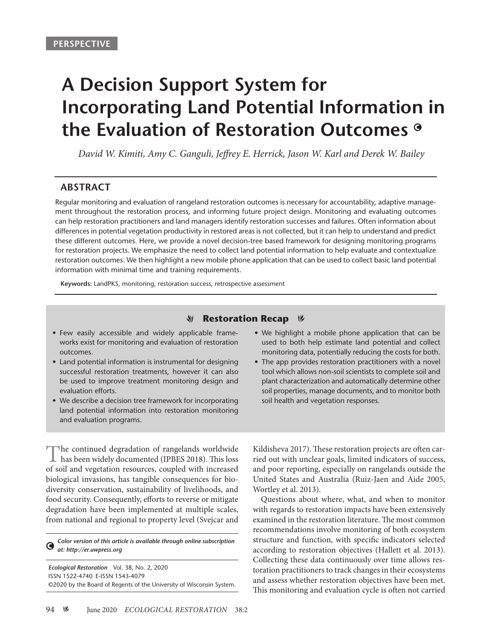# **A Decision Support System for Incorporating Land Potential Information in the Evaluation of Restoration Outcomes**

*David W. Kimiti, Amy C. Ganguli, Jeffrey E. Herrick, Jason W. Karl and Derek W. Bailey*

## **ABSTRACT**

Regular monitoring and evaluation of rangeland restoration outcomes is necessary for accountability, adaptive management throughout the restoration process, and informing future project design. Monitoring and evaluating outcomes can help restoration practitioners and land managers identify restoration successes and failures. Often information about differences in potential vegetation productivity in restored areas is not collected, but it can help to understand and predict these different outcomes. Here, we provide a novel decision-tree based framework for designing monitoring programs for restoration projects. We emphasize the need to collect land potential information to help evaluate and contextualize restoration outcomes. We then highlight a new mobile phone application that can be used to collect basic land potential information with minimal time and training requirements.

**Keywords:** LandPKS, monitoring, restoration success, retrospective assessment

#### **Restoration Recap &** V

- Few easily accessible and widely applicable frameworks exist for monitoring and evaluation of restoration outcomes.
- Land potential information is instrumental for designing successful restoration treatments, however it can also be used to improve treatment monitoring design and evaluation efforts.
- We describe a decision tree framework for incorporating land potential information into restoration monitoring and evaluation programs.

The continued degradation of rangelands worldwide has been widely documented (IPBES 2018). This loss of soil and vegetation resources, coupled with increased biological invasions, has tangible consequences for biodiversity conservation, sustainability of livelihoods, and food security. Consequently, efforts to reverse or mitigate degradation have been implemented at multiple scales, from national and regional to property level (Svejcar and

*Color version of this article is available through online subscription*   $\bullet$ *at: http://er.uwpress.org*

*Ecological Restoration* Vol. 38, No. 2, 2020 ISSN 1522-4740 E-ISSN 1543-4079 ©2020 by the Board of Regents of the University of Wisconsin System. • We highlight a mobile phone application that can be used to both help estimate land potential and collect monitoring data, potentially reducing the costs for both.

• The app provides restoration practitioners with a novel tool which allows non-soil scientists to complete soil and plant characterization and automatically determine other soil properties, manage documents, and to monitor both soil health and vegetation responses.

Kildisheva 2017). These restoration projects are often carried out with unclear goals, limited indicators of success, and poor reporting, especially on rangelands outside the United States and Australia (Ruiz-Jaen and Aide 2005, Wortley et al. 2013).

Questions about where, what, and when to monitor with regards to restoration impacts have been extensively examined in the restoration literature. The most common recommendations involve monitoring of both ecosystem structure and function, with specific indicators selected according to restoration objectives (Hallett et al. 2013). Collecting these data continuously over time allows restoration practitioners to track changes in their ecosystems and assess whether restoration objectives have been met. This monitoring and evaluation cycle is often not carried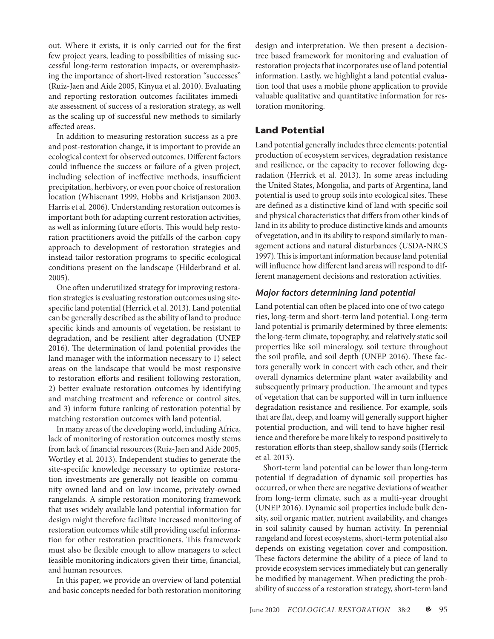out. Where it exists, it is only carried out for the first few project years, leading to possibilities of missing successful long-term restoration impacts, or overemphasizing the importance of short-lived restoration "successes" (Ruiz-Jaen and Aide 2005, Kinyua et al. 2010). Evaluating and reporting restoration outcomes facilitates immediate assessment of success of a restoration strategy, as well as the scaling up of successful new methods to similarly affected areas.

In addition to measuring restoration success as a preand post-restoration change, it is important to provide an ecological context for observed outcomes. Different factors could influence the success or failure of a given project, including selection of ineffective methods, insufficient precipitation, herbivory, or even poor choice of restoration location (Whisenant 1999, Hobbs and Kristjanson 2003, Harris et al*.* 2006). Understanding restoration outcomes is important both for adapting current restoration activities, as well as informing future efforts. This would help restoration practitioners avoid the pitfalls of the carbon-copy approach to development of restoration strategies and instead tailor restoration programs to specific ecological conditions present on the landscape (Hilderbrand et al. 2005).

One often underutilized strategy for improving restoration strategies is evaluating restoration outcomes using sitespecific land potential (Herrick et al. 2013). Land potential can be generally described as the ability of land to produce specific kinds and amounts of vegetation, be resistant to degradation, and be resilient after degradation (UNEP 2016). The determination of land potential provides the land manager with the information necessary to 1) select areas on the landscape that would be most responsive to restoration efforts and resilient following restoration, 2) better evaluate restoration outcomes by identifying and matching treatment and reference or control sites, and 3) inform future ranking of restoration potential by matching restoration outcomes with land potential.

In many areas of the developing world, including Africa, lack of monitoring of restoration outcomes mostly stems from lack of financial resources (Ruiz-Jaen and Aide 2005, Wortley et al. 2013). Independent studies to generate the site-specific knowledge necessary to optimize restoration investments are generally not feasible on community owned land and on low-income, privately-owned rangelands. A simple restoration monitoring framework that uses widely available land potential information for design might therefore facilitate increased monitoring of restoration outcomes while still providing useful information for other restoration practitioners. This framework must also be flexible enough to allow managers to select feasible monitoring indicators given their time, financial, and human resources.

In this paper, we provide an overview of land potential and basic concepts needed for both restoration monitoring design and interpretation. We then present a decisiontree based framework for monitoring and evaluation of restoration projects that incorporates use of land potential information. Lastly, we highlight a land potential evaluation tool that uses a mobile phone application to provide valuable qualitative and quantitative information for restoration monitoring.

### **Land Potential**

Land potential generally includes three elements: potential production of ecosystem services, degradation resistance and resilience, or the capacity to recover following degradation (Herrick et al*.* 2013). In some areas including the United States, Mongolia, and parts of Argentina, land potential is used to group soils into ecological sites. These are defined as a distinctive kind of land with specific soil and physical characteristics that differs from other kinds of land in its ability to produce distinctive kinds and amounts of vegetation, and in its ability to respond similarly to management actions and natural disturbances (USDA-NRCS 1997). This is important information because land potential will influence how different land areas will respond to different management decisions and restoration activities.

#### *Major factors determining land potential*

Land potential can often be placed into one of two categories, long-term and short-term land potential. Long-term land potential is primarily determined by three elements: the long-term climate, topography, and relatively static soil properties like soil mineralogy, soil texture throughout the soil profile, and soil depth (UNEP 2016). These factors generally work in concert with each other, and their overall dynamics determine plant water availability and subsequently primary production. The amount and types of vegetation that can be supported will in turn influence degradation resistance and resilience. For example, soils that are flat, deep, and loamy will generally support higher potential production, and will tend to have higher resilience and therefore be more likely to respond positively to restoration efforts than steep, shallow sandy soils (Herrick et al*.* 2013).

Short-term land potential can be lower than long-term potential if degradation of dynamic soil properties has occurred, or when there are negative deviations of weather from long-term climate, such as a multi-year drought (UNEP 2016). Dynamic soil properties include bulk density, soil organic matter, nutrient availability, and changes in soil salinity caused by human activity. In perennial rangeland and forest ecosystems, short-term potential also depends on existing vegetation cover and composition. These factors determine the ability of a piece of land to provide ecosystem services immediately but can generally be modified by management. When predicting the probability of success of a restoration strategy, short-term land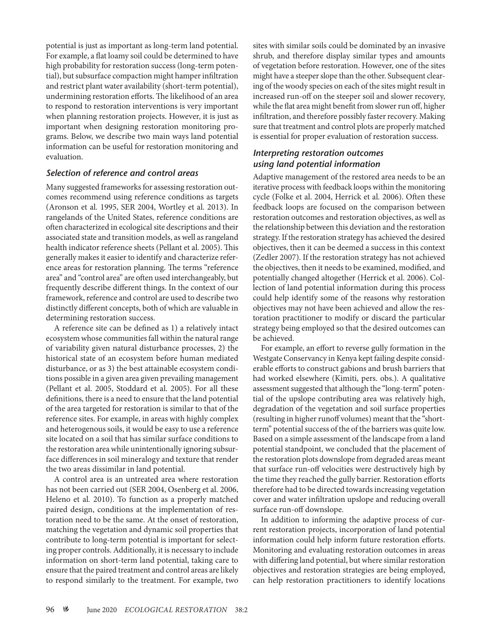potential is just as important as long-term land potential. For example, a flat loamy soil could be determined to have high probability for restoration success (long-term potential), but subsurface compaction might hamper infiltration and restrict plant water availability (short-term potential), undermining restoration efforts. The likelihood of an area to respond to restoration interventions is very important when planning restoration projects. However, it is just as important when designing restoration monitoring programs. Below, we describe two main ways land potential information can be useful for restoration monitoring and evaluation.

#### *Selection of reference and control areas*

Many suggested frameworks for assessing restoration outcomes recommend using reference conditions as targets (Aronson et al*.* 1995, SER 2004, Wortley et al*.* 2013). In rangelands of the United States, reference conditions are often characterized in ecological site descriptions and their associated state and transition models, as well as rangeland health indicator reference sheets (Pellant et al. 2005). This generally makes it easier to identify and characterize reference areas for restoration planning. The terms "reference area" and "control area" are often used interchangeably, but frequently describe different things. In the context of our framework, reference and control are used to describe two distinctly different concepts, both of which are valuable in determining restoration success.

A reference site can be defined as 1) a relatively intact ecosystem whose communities fall within the natural range of variability given natural disturbance processes, 2) the historical state of an ecosystem before human mediated disturbance, or as 3) the best attainable ecosystem conditions possible in a given area given prevailing management (Pellant et al. 2005, Stoddard et al. 2005). For all these definitions, there is a need to ensure that the land potential of the area targeted for restoration is similar to that of the reference sites. For example, in areas with highly complex and heterogenous soils, it would be easy to use a reference site located on a soil that has similar surface conditions to the restoration area while unintentionally ignoring subsurface differences in soil mineralogy and texture that render the two areas dissimilar in land potential.

A control area is an untreated area where restoration has not been carried out (SER 2004, Osenberg et al*.* 2006, Heleno et al*.* 2010). To function as a properly matched paired design, conditions at the implementation of restoration need to be the same. At the onset of restoration, matching the vegetation and dynamic soil properties that contribute to long-term potential is important for selecting proper controls. Additionally, it is necessary to include information on short-term land potential, taking care to ensure that the paired treatment and control areas are likely to respond similarly to the treatment. For example, two

sites with similar soils could be dominated by an invasive shrub, and therefore display similar types and amounts of vegetation before restoration. However, one of the sites might have a steeper slope than the other. Subsequent clearing of the woody species on each of the sites might result in increased run-off on the steeper soil and slower recovery, while the flat area might benefit from slower run off, higher infiltration, and therefore possibly faster recovery. Making sure that treatment and control plots are properly matched is essential for proper evaluation of restoration success.

### *Interpreting restoration outcomes using land potential information*

Adaptive management of the restored area needs to be an iterative process with feedback loops within the monitoring cycle (Folke et al. 2004, Herrick et al*.* 2006). Often these feedback loops are focused on the comparison between restoration outcomes and restoration objectives, as well as the relationship between this deviation and the restoration strategy. If the restoration strategy has achieved the desired objectives, then it can be deemed a success in this context (Zedler 2007). If the restoration strategy has not achieved the objectives, then it needs to be examined, modified, and potentially changed altogether (Herrick et al. 2006). Collection of land potential information during this process could help identify some of the reasons why restoration objectives may not have been achieved and allow the restoration practitioner to modify or discard the particular strategy being employed so that the desired outcomes can be achieved.

For example, an effort to reverse gully formation in the Westgate Conservancy in Kenya kept failing despite considerable efforts to construct gabions and brush barriers that had worked elsewhere (Kimiti, pers. obs.). A qualitative assessment suggested that although the "long-term" potential of the upslope contributing area was relatively high, degradation of the vegetation and soil surface properties (resulting in higher runoff volumes) meant that the "shortterm" potential success of the of the barriers was quite low. Based on a simple assessment of the landscape from a land potential standpoint, we concluded that the placement of the restoration plots downslope from degraded areas meant that surface run-off velocities were destructively high by the time they reached the gully barrier. Restoration efforts therefore had to be directed towards increasing vegetation cover and water infiltration upslope and reducing overall surface run-off downslope.

In addition to informing the adaptive process of current restoration projects, incorporation of land potential information could help inform future restoration efforts. Monitoring and evaluating restoration outcomes in areas with differing land potential, but where similar restoration objectives and restoration strategies are being employed, can help restoration practitioners to identify locations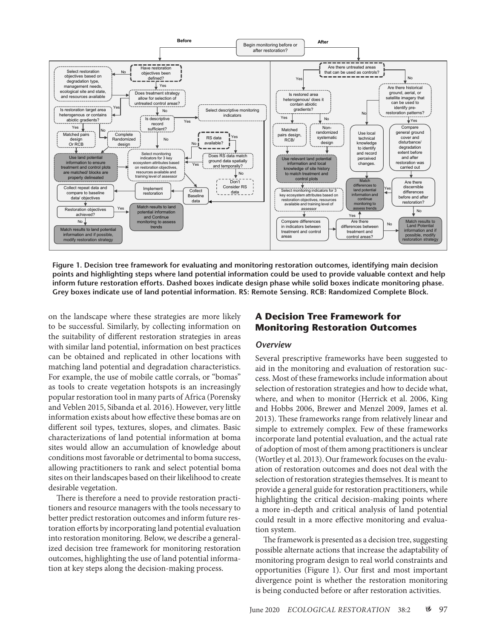

**Figure 1. Decision tree framework for evaluating and monitoring restoration outcomes, identifying main decision points and highlighting steps where land potential information could be used to provide valuable context and help inform future restoration efforts. Dashed boxes indicate design phase while solid boxes indicate monitoring phase. Grey boxes indicate use of land potential information. RS: Remote Sensing. RCB: Randomized Complete Block.**

on the landscape where these strategies are more likely to be successful. Similarly, by collecting information on the suitability of different restoration strategies in areas with similar land potential, information on best practices can be obtained and replicated in other locations with matching land potential and degradation characteristics. For example, the use of mobile cattle corrals, or "bomas" as tools to create vegetation hotspots is an increasingly popular restoration tool in many parts of Africa (Porensky and Veblen 2015, Sibanda et al*.* 2016). However, very little information exists about how effective these bomas are on different soil types, textures, slopes, and climates. Basic characterizations of land potential information at boma sites would allow an accumulation of knowledge about conditions most favorable or detrimental to boma success, allowing practitioners to rank and select potential boma sites on their landscapes based on their likelihood to create desirable vegetation.

There is therefore a need to provide restoration practitioners and resource managers with the tools necessary to better predict restoration outcomes and inform future restoration efforts by incorporating land potential evaluation into restoration monitoring. Below, we describe a generalized decision tree framework for monitoring restoration outcomes, highlighting the use of land potential information at key steps along the decision-making process.

# **A Decision Tree Framework for Monitoring Restoration Outcomes**

#### *Overview*

Several prescriptive frameworks have been suggested to aid in the monitoring and evaluation of restoration success. Most of these frameworks include information about selection of restoration strategies and how to decide what, where, and when to monitor (Herrick et al. 2006, King and Hobbs 2006, Brewer and Menzel 2009, James et al. 2013). These frameworks range from relatively linear and simple to extremely complex. Few of these frameworks incorporate land potential evaluation, and the actual rate of adoption of most of them among practitioners is unclear (Wortley et al. 2013). Our framework focuses on the evaluation of restoration outcomes and does not deal with the selection of restoration strategies themselves. It is meant to provide a general guide for restoration practitioners, while highlighting the critical decision-making points where a more in-depth and critical analysis of land potential could result in a more effective monitoring and evaluation system.

The framework is presented as a decision tree, suggesting possible alternate actions that increase the adaptability of monitoring program design to real world constraints and opportunities (Figure 1). Our first and most important divergence point is whether the restoration monitoring is being conducted before or after restoration activities.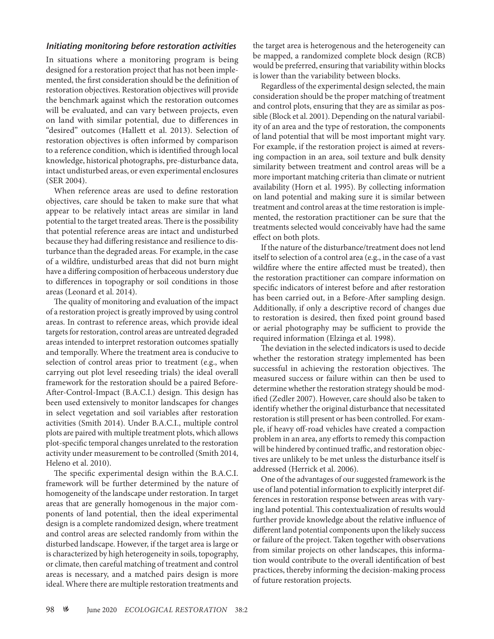#### *Initiating monitoring before restoration activities*

In situations where a monitoring program is being designed for a restoration project that has not been implemented, the first consideration should be the definition of restoration objectives. Restoration objectives will provide the benchmark against which the restoration outcomes will be evaluated, and can vary between projects, even on land with similar potential, due to differences in "desired" outcomes (Hallett et al. 2013). Selection of restoration objectives is often informed by comparison to a reference condition, which is identified through local knowledge, historical photographs, pre-disturbance data, intact undisturbed areas, or even experimental enclosures (SER 2004).

When reference areas are used to define restoration objectives, care should be taken to make sure that what appear to be relatively intact areas are similar in land potential to the target treated areas. There is the possibility that potential reference areas are intact and undisturbed because they had differing resistance and resilience to disturbance than the degraded areas. For example, in the case of a wildfire, undisturbed areas that did not burn might have a differing composition of herbaceous understory due to differences in topography or soil conditions in those areas (Leonard et al. 2014).

The quality of monitoring and evaluation of the impact of a restoration project is greatly improved by using control areas. In contrast to reference areas, which provide ideal targets for restoration, control areas are untreated degraded areas intended to interpret restoration outcomes spatially and temporally. Where the treatment area is conducive to selection of control areas prior to treatment (e.g., when carrying out plot level reseeding trials) the ideal overall framework for the restoration should be a paired Before-After-Control-Impact (B.A.C.I.) design. This design has been used extensively to monitor landscapes for changes in select vegetation and soil variables after restoration activities (Smith 2014). Under B.A.C.I., multiple control plots are paired with multiple treatment plots, which allows plot-specific temporal changes unrelated to the restoration activity under measurement to be controlled (Smith 2014, Heleno et al. 2010).

The specific experimental design within the B.A.C.I. framework will be further determined by the nature of homogeneity of the landscape under restoration. In target areas that are generally homogenous in the major components of land potential, then the ideal experimental design is a complete randomized design, where treatment and control areas are selected randomly from within the disturbed landscape. However, if the target area is large or is characterized by high heterogeneity in soils, topography, or climate, then careful matching of treatment and control areas is necessary, and a matched pairs design is more ideal. Where there are multiple restoration treatments and

the target area is heterogenous and the heterogeneity can be mapped, a randomized complete block design (RCB) would be preferred, ensuring that variability within blocks is lower than the variability between blocks.

Regardless of the experimental design selected, the main consideration should be the proper matching of treatment and control plots, ensuring that they are as similar as possible (Block et al. 2001). Depending on the natural variability of an area and the type of restoration, the components of land potential that will be most important might vary. For example, if the restoration project is aimed at reversing compaction in an area, soil texture and bulk density similarity between treatment and control areas will be a more important matching criteria than climate or nutrient availability (Horn et al. 1995). By collecting information on land potential and making sure it is similar between treatment and control areas at the time restoration is implemented, the restoration practitioner can be sure that the treatments selected would conceivably have had the same effect on both plots.

If the nature of the disturbance/treatment does not lend itself to selection of a control area (e.g., in the case of a vast wildfire where the entire affected must be treated), then the restoration practitioner can compare information on specific indicators of interest before and after restoration has been carried out, in a Before-After sampling design. Additionally, if only a descriptive record of changes due to restoration is desired, then fixed point ground based or aerial photography may be sufficient to provide the required information (Elzinga et al*.* 1998).

The deviation in the selected indicators is used to decide whether the restoration strategy implemented has been successful in achieving the restoration objectives. The measured success or failure within can then be used to determine whether the restoration strategy should be modified (Zedler 2007). However, care should also be taken to identify whether the original disturbance that necessitated restoration is still present or has been controlled. For example, if heavy off-road vehicles have created a compaction problem in an area, any efforts to remedy this compaction will be hindered by continued traffic, and restoration objectives are unlikely to be met unless the disturbance itself is addressed (Herrick et al. 2006).

One of the advantages of our suggested framework is the use of land potential information to explicitly interpret differences in restoration response between areas with varying land potential. This contextualization of results would further provide knowledge about the relative influence of different land potential components upon the likely success or failure of the project. Taken together with observations from similar projects on other landscapes, this information would contribute to the overall identification of best practices, thereby informing the decision-making process of future restoration projects.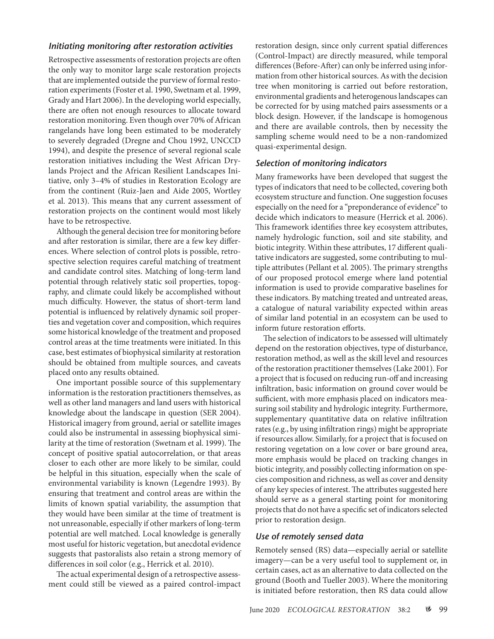#### *Initiating monitoring after restoration activities*

Retrospective assessments of restoration projects are often the only way to monitor large scale restoration projects that are implemented outside the purview of formal restoration experiments (Foster et al. 1990, Swetnam et al. 1999, Grady and Hart 2006). In the developing world especially, there are often not enough resources to allocate toward restoration monitoring. Even though over 70% of African rangelands have long been estimated to be moderately to severely degraded (Dregne and Chou 1992, UNCCD 1994), and despite the presence of several regional scale restoration initiatives including the West African Drylands Project and the African Resilient Landscapes Initiative, only 3–4% of studies in Restoration Ecology are from the continent (Ruiz-Jaen and Aide 2005, Wortley et al. 2013). This means that any current assessment of restoration projects on the continent would most likely have to be retrospective.

Although the general decision tree for monitoring before and after restoration is similar, there are a few key differences. Where selection of control plots is possible, retrospective selection requires careful matching of treatment and candidate control sites. Matching of long-term land potential through relatively static soil properties, topography, and climate could likely be accomplished without much difficulty. However, the status of short-term land potential is influenced by relatively dynamic soil properties and vegetation cover and composition, which requires some historical knowledge of the treatment and proposed control areas at the time treatments were initiated. In this case, best estimates of biophysical similarity at restoration should be obtained from multiple sources, and caveats placed onto any results obtained.

One important possible source of this supplementary information is the restoration practitioners themselves, as well as other land managers and land users with historical knowledge about the landscape in question (SER 2004). Historical imagery from ground, aerial or satellite images could also be instrumental in assessing biophysical similarity at the time of restoration (Swetnam et al. 1999). The concept of positive spatial autocorrelation, or that areas closer to each other are more likely to be similar, could be helpful in this situation, especially when the scale of environmental variability is known (Legendre 1993). By ensuring that treatment and control areas are within the limits of known spatial variability, the assumption that they would have been similar at the time of treatment is not unreasonable, especially if other markers of long-term potential are well matched. Local knowledge is generally most useful for historic vegetation, but anecdotal evidence suggests that pastoralists also retain a strong memory of differences in soil color (e.g., Herrick et al. 2010).

The actual experimental design of a retrospective assessment could still be viewed as a paired control-impact restoration design, since only current spatial differences (Control-Impact) are directly measured, while temporal differences (Before-After) can only be inferred using information from other historical sources. As with the decision tree when monitoring is carried out before restoration, environmental gradients and heterogenous landscapes can be corrected for by using matched pairs assessments or a block design. However, if the landscape is homogenous and there are available controls, then by necessity the sampling scheme would need to be a non-randomized quasi-experimental design.

#### *Selection of monitoring indicators*

Many frameworks have been developed that suggest the types of indicators that need to be collected, covering both ecosystem structure and function. One suggestion focuses especially on the need for a "preponderance of evidence" to decide which indicators to measure (Herrick et al. 2006). This framework identifies three key ecosystem attributes, namely hydrologic function, soil and site stability, and biotic integrity. Within these attributes, 17 different qualitative indicators are suggested, some contributing to multiple attributes (Pellant et al. 2005). The primary strengths of our proposed protocol emerge where land potential information is used to provide comparative baselines for these indicators. By matching treated and untreated areas, a catalogue of natural variability expected within areas of similar land potential in an ecosystem can be used to inform future restoration efforts.

The selection of indicators to be assessed will ultimately depend on the restoration objectives, type of disturbance, restoration method, as well as the skill level and resources of the restoration practitioner themselves (Lake 2001). For a project that is focused on reducing run-off and increasing infiltration, basic information on ground cover would be sufficient, with more emphasis placed on indicators measuring soil stability and hydrologic integrity. Furthermore, supplementary quantitative data on relative infiltration rates (e.g., by using infiltration rings) might be appropriate if resources allow. Similarly, for a project that is focused on restoring vegetation on a low cover or bare ground area, more emphasis would be placed on tracking changes in biotic integrity, and possibly collecting information on species composition and richness, as well as cover and density of any key species of interest. The attributes suggested here should serve as a general starting point for monitoring projects that do not have a specific set of indicators selected prior to restoration design.

#### *Use of remotely sensed data*

Remotely sensed (RS) data—especially aerial or satellite imagery—can be a very useful tool to supplement or, in certain cases, act as an alternative to data collected on the ground (Booth and Tueller 2003). Where the monitoring is initiated before restoration, then RS data could allow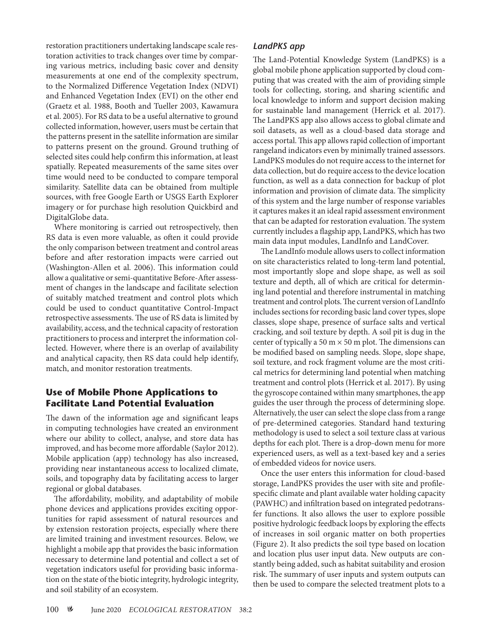restoration practitioners undertaking landscape scale restoration activities to track changes over time by comparing various metrics, including basic cover and density measurements at one end of the complexity spectrum, to the Normalized Difference Vegetation Index (NDVI) and Enhanced Vegetation Index (EVI) on the other end (Graetz et al. 1988, Booth and Tueller 2003, Kawamura et al. 2005). For RS data to be a useful alternative to ground collected information, however, users must be certain that the patterns present in the satellite information are similar to patterns present on the ground. Ground truthing of selected sites could help confirm this information, at least spatially. Repeated measurements of the same sites over time would need to be conducted to compare temporal similarity. Satellite data can be obtained from multiple sources, with free Google Earth or USGS Earth Explorer imagery or for purchase high resolution Quickbird and DigitalGlobe data.

Where monitoring is carried out retrospectively, then RS data is even more valuable, as often it could provide the only comparison between treatment and control areas before and after restoration impacts were carried out (Washington-Allen et al. 2006). This information could allow a qualitative or semi-quantitative Before-After assessment of changes in the landscape and facilitate selection of suitably matched treatment and control plots which could be used to conduct quantitative Control-Impact retrospective assessments. The use of RS data is limited by availability, access, and the technical capacity of restoration practitioners to process and interpret the information collected. However, where there is an overlap of availability and analytical capacity, then RS data could help identify, match, and monitor restoration treatments.

# **Use of Mobile Phone Applications to Facilitate Land Potential Evaluation**

The dawn of the information age and significant leaps in computing technologies have created an environment where our ability to collect, analyse, and store data has improved, and has become more affordable (Saylor 2012). Mobile application (app) technology has also increased, providing near instantaneous access to localized climate, soils, and topography data by facilitating access to larger regional or global databases.

The affordability, mobility, and adaptability of mobile phone devices and applications provides exciting opportunities for rapid assessment of natural resources and by extension restoration projects, especially where there are limited training and investment resources. Below, we highlight a mobile app that provides the basic information necessary to determine land potential and collect a set of vegetation indicators useful for providing basic information on the state of the biotic integrity, hydrologic integrity, and soil stability of an ecosystem.

# *LandPKS app*

The Land-Potential Knowledge System (LandPKS) is a global mobile phone application supported by cloud computing that was created with the aim of providing simple tools for collecting, storing, and sharing scientific and local knowledge to inform and support decision making for sustainable land management (Herrick et al. 2017). The LandPKS app also allows access to global climate and soil datasets, as well as a cloud-based data storage and access portal. This app allows rapid collection of important rangeland indicators even by minimally trained assessors. LandPKS modules do not require access to the internet for data collection, but do require access to the device location function, as well as a data connection for backup of plot information and provision of climate data. The simplicity of this system and the large number of response variables it captures makes it an ideal rapid assessment environment that can be adapted for restoration evaluation. The system currently includes a flagship app, LandPKS, which has two main data input modules, LandInfo and LandCover.

The LandInfo module allows users to collect information on site characteristics related to long-term land potential, most importantly slope and slope shape, as well as soil texture and depth, all of which are critical for determining land potential and therefore instrumental in matching treatment and control plots. The current version of LandInfo includes sections for recording basic land cover types, slope classes, slope shape, presence of surface salts and vertical cracking, and soil texture by depth. A soil pit is dug in the center of typically a 50 m  $\times$  50 m plot. The dimensions can be modified based on sampling needs. Slope, slope shape, soil texture, and rock fragment volume are the most critical metrics for determining land potential when matching treatment and control plots (Herrick et al. 2017). By using the gyroscope contained within many smartphones, the app guides the user through the process of determining slope. Alternatively, the user can select the slope class from a range of pre-determined categories. Standard hand texturing methodology is used to select a soil texture class at various depths for each plot. There is a drop-down menu for more experienced users, as well as a text-based key and a series of embedded videos for novice users.

Once the user enters this information for cloud-based storage, LandPKS provides the user with site and profilespecific climate and plant available water holding capacity (PAWHC) and infiltration based on integrated pedotransfer functions. It also allows the user to explore possible positive hydrologic feedback loops by exploring the effects of increases in soil organic matter on both properties (Figure 2). It also predicts the soil type based on location and location plus user input data. New outputs are constantly being added, such as habitat suitability and erosion risk. The summary of user inputs and system outputs can then be used to compare the selected treatment plots to a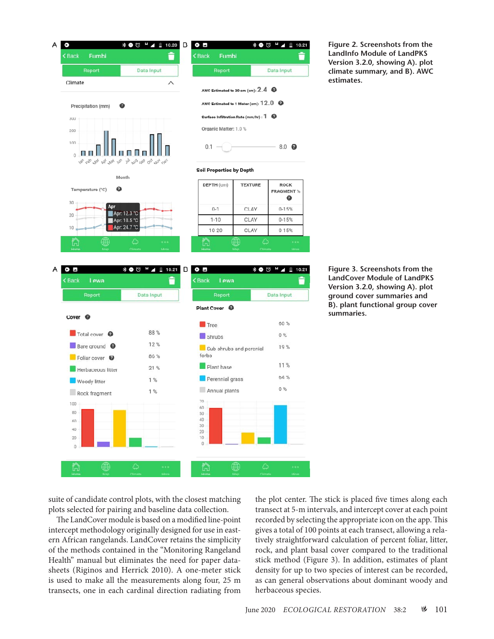

**Figure 2. Screenshots from the LandInfo Module of LandPKS Version 3.2.0, showing A). plot climate summary, and B). AWC estimates.**

suite of candidate control plots, with the closest matching plots selected for pairing and baseline data collection.

The LandCover module is based on a modified line-point intercept methodology originally designed for use in eastern African rangelands. LandCover retains the simplicity of the methods contained in the "Monitoring Rangeland Health" manual but eliminates the need for paper datasheets (Riginos and Herrick 2010). A one-meter stick is used to make all the measurements along four, 25 m transects, one in each cardinal direction radiating from

the plot center. The stick is placed five times along each transect at 5-m intervals, and intercept cover at each point recorded by selecting the appropriate icon on the app. This gives a total of 100 points at each transect, allowing a relatively straightforward calculation of percent foliar, litter, rock, and plant basal cover compared to the traditional stick method (Figure 3). In addition, estimates of plant density for up to two species of interest can be recorded, as can general observations about dominant woody and herbaceous species.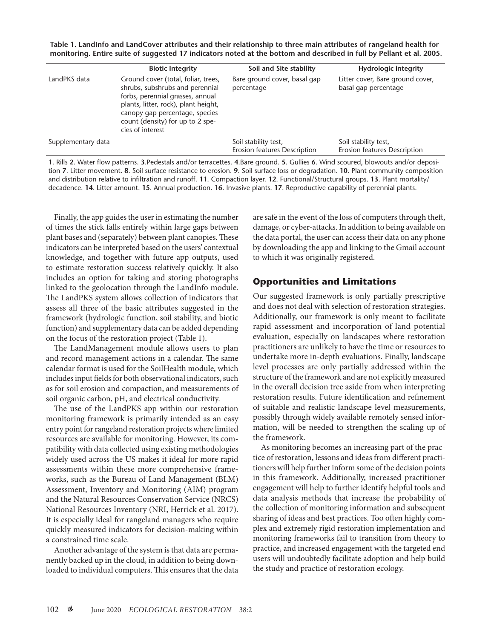**Table 1. LandInfo and LandCover attributes and their relationship to three main attributes of rangeland health for monitoring. Entire suite of suggested 17 indicators noted at the bottom and described in full by Pellant et al. 2005.**

|                    | <b>Biotic Integrity</b>                                                                                                                                                                                                                      | Soil and Site stability                              | <b>Hydrologic integrity</b>                                                                                                                                                                                                                                                   |
|--------------------|----------------------------------------------------------------------------------------------------------------------------------------------------------------------------------------------------------------------------------------------|------------------------------------------------------|-------------------------------------------------------------------------------------------------------------------------------------------------------------------------------------------------------------------------------------------------------------------------------|
| LandPKS data       | Ground cover (total, foliar, trees,<br>shrubs, subshrubs and perennial<br>forbs, perennial grasses, annual<br>plants, litter, rock), plant height,<br>canopy gap percentage, species<br>count (density) for up to 2 spe-<br>cies of interest | Bare ground cover, basal gap<br>percentage           | Litter cover, Bare ground cover,<br>basal gap percentage                                                                                                                                                                                                                      |
| Supplementary data |                                                                                                                                                                                                                                              | Soil stability test,<br>Erosion features Description | Soil stability test,<br>Erosion features Description                                                                                                                                                                                                                          |
|                    | and distribution relative to infiltration and runoff. 11. Compaction layer. 12. Functional/Structural groups. 13. Plant mortality/                                                                                                           |                                                      | 1. Rills 2. Water flow patterns. 3. Pedestals and/or terracettes. 4. Bare ground. 5. Gullies 6. Wind scoured, blowouts and/or deposi-<br>tion 7. Litter movement. 8. Soil surface resistance to erosion. 9. Soil surface loss or degradation. 10. Plant community composition |

decadence. **14**. Litter amount. **15**. Annual production. **16**. Invasive plants. **17**. Reproductive capability of perennial plants.

Finally, the app guides the user in estimating the number of times the stick falls entirely within large gaps between plant bases and (separately) between plant canopies. These indicators can be interpreted based on the users' contextual knowledge, and together with future app outputs, used to estimate restoration success relatively quickly. It also includes an option for taking and storing photographs linked to the geolocation through the LandInfo module. The LandPKS system allows collection of indicators that assess all three of the basic attributes suggested in the framework (hydrologic function, soil stability, and biotic function) and supplementary data can be added depending on the focus of the restoration project (Table 1).

The LandManagement module allows users to plan and record management actions in a calendar. The same calendar format is used for the SoilHealth module, which includes input fields for both observational indicators, such as for soil erosion and compaction, and measurements of soil organic carbon, pH, and electrical conductivity.

The use of the LandPKS app within our restoration monitoring framework is primarily intended as an easy entry point for rangeland restoration projects where limited resources are available for monitoring. However, its compatibility with data collected using existing methodologies widely used across the US makes it ideal for more rapid assessments within these more comprehensive frameworks, such as the Bureau of Land Management (BLM) Assessment, Inventory and Monitoring (AIM) program and the Natural Resources Conservation Service (NRCS) National Resources Inventory (NRI, Herrick et al. 2017). It is especially ideal for rangeland managers who require quickly measured indicators for decision-making within a constrained time scale.

Another advantage of the system is that data are permanently backed up in the cloud, in addition to being downloaded to individual computers. This ensures that the data are safe in the event of the loss of computers through theft, damage, or cyber-attacks. In addition to being available on the data portal, the user can access their data on any phone by downloading the app and linking to the Gmail account to which it was originally registered.

# **Opportunities and Limitations**

Our suggested framework is only partially prescriptive and does not deal with selection of restoration strategies. Additionally, our framework is only meant to facilitate rapid assessment and incorporation of land potential evaluation, especially on landscapes where restoration practitioners are unlikely to have the time or resources to undertake more in-depth evaluations. Finally, landscape level processes are only partially addressed within the structure of the framework and are not explicitly measured in the overall decision tree aside from when interpreting restoration results. Future identification and refinement of suitable and realistic landscape level measurements, possibly through widely available remotely sensed information, will be needed to strengthen the scaling up of the framework.

As monitoring becomes an increasing part of the practice of restoration, lessons and ideas from different practitioners will help further inform some of the decision points in this framework. Additionally, increased practitioner engagement will help to further identify helpful tools and data analysis methods that increase the probability of the collection of monitoring information and subsequent sharing of ideas and best practices. Too often highly complex and extremely rigid restoration implementation and monitoring frameworks fail to transition from theory to practice, and increased engagement with the targeted end users will undoubtedly facilitate adoption and help build the study and practice of restoration ecology.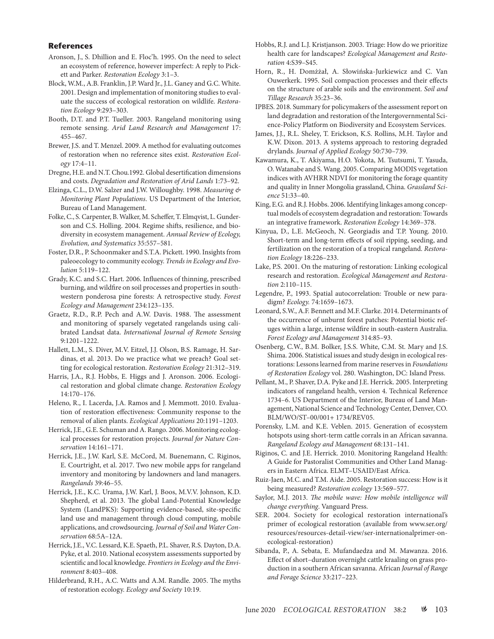#### **References**

- Aronson, J., S. Dhillion and E. Floc'h. 1995. On the need to select an ecosystem of reference, however imperfect: A reply to Pickett and Parker. *Restoration Ecology* 3:1–3.
- Block, W.M., A.B. Franklin, J.P. Ward Jr., J.L. Ganey and G.C. White. 2001. Design and implementation of monitoring studies to evaluate the success of ecological restoration on wildlife. *Restoration Ecology* 9:293–303.
- Booth, D.T. and P.T. Tueller. 2003. Rangeland monitoring using remote sensing. *Arid Land Research and Management* 17: 455–467.
- Brewer, J.S. and T. Menzel. 2009. A method for evaluating outcomes of restoration when no reference sites exist. *Restoration Ecology* 17:4–11.
- Dregne, H.E. and N.T. Chou.1992. Global desertification dimensions and costs. *Degradation and Restoration of Arid Lands* 1:73–92.
- Elzinga, C.L., D.W. Salzer and J.W. Willoughby. 1998. *Measuring & Monitoring Plant Populations*. US Department of the Interior, Bureau of Land Management.
- Folke, C., S. Carpenter, B. Walker, M. Scheffer, T. Elmqvist, L. Gunderson and C.S. Holling. 2004. Regime shifts, resilience, and biodiversity in ecosystem management. *Annual Review of Ecology, Evolution, and Systematics* 35:557–581.
- Foster, D.R., P. Schoonmaker and S.T.A. Pickett. 1990. Insights from paleoecology to community ecology. *Trends in Ecology and Evolution* 5:119–122.
- Grady, K.C. and S.C. Hart. 2006. Influences of thinning, prescribed burning, and wildfire on soil processes and properties in southwestern ponderosa pine forests: A retrospective study. *Forest Ecology and Management* 234:123–135.
- Graetz, R.D., R.P. Pech and A.W. Davis. 1988. The assessment and monitoring of sparsely vegetated rangelands using calibrated Landsat data. *International Journal of Remote Sensing* 9:1201–1222.
- Hallett, L.M., S. Diver, M.V. Eitzel, J.J. Olson, B.S. Ramage, H. Sardinas, et al. 2013. Do we practice what we preach? Goal setting for ecological restoration. *Restoration Ecology* 21:312–319.
- Harris, J.A., R.J. Hobbs, E. Higgs and J. Aronson. 2006. Ecological restoration and global climate change. *Restoration Ecology* 14:170–176.
- Heleno, R., I. Lacerda, J.A. Ramos and J. Memmott. 2010. Evaluation of restoration effectiveness: Community response to the removal of alien plants. *Ecological Applications* 20:1191–1203.
- Herrick, J.E., G.E. Schuman and A. Rango. 2006. Monitoring ecological processes for restoration projects. *Journal for Nature Conservation* 14:161–171.
- Herrick, J.E., J.W. Karl, S.E. McCord, M. Buenemann, C. Riginos, E. Courtright, et al. 2017. Two new mobile apps for rangeland inventory and monitoring by landowners and land managers. *Rangelands* 39:46–55.
- Herrick, J.E., K.C. Urama, J.W. Karl, J. Boos, M.V.V. Johnson, K.D. Shepherd, et al. 2013. The global Land-Potential Knowledge System (LandPKS): Supporting evidence-based, site-specific land use and management through cloud computing, mobile applications, and crowdsourcing. *Journal of Soil and Water Conservation* 68:5A–12A.
- Herrick, J.E., V.C. Lessard, K.E. Spaeth, P.L. Shaver, R.S. Dayton, D.A. Pyke, et al. 2010. National ecosystem assessments supported by scientific and local knowledge. *Frontiers in Ecology and the Environment* 8:403–408.
- Hilderbrand, R.H., A.C. Watts and A.M. Randle. 2005. The myths of restoration ecology. *Ecology and Society* 10:19.
- Hobbs, R.J. and L.J. Kristjanson. 2003. Triage: How do we prioritize health care for landscapes? *Ecological Management and Restoration* 4:S39–S45.
- Horn, R., H. Domżżał, A. Słowińska-Jurkiewicz and C. Van Ouwerkerk. 1995. Soil compaction processes and their effects on the structure of arable soils and the environment. *Soil and Tillage Research* 35:23–36.
- IPBES. 2018. Summary for policymakers of the assessment report on land degradation and restoration of the Intergovernmental Science-Policy Platform on Biodiversity and Ecosystem Services.
- James, J.J., R.L. Sheley, T. Erickson, K.S. Rollins, M.H. Taylor and K.W. Dixon. 2013. A systems approach to restoring degraded drylands. *Journal of Applied Ecology* 50:730–739.
- Kawamura, K., T. Akiyama, H.O. Yokota, M. Tsutsumi, T. Yasuda, O. Watanabe and S. Wang. 2005. Comparing MODIS vegetation indices with AVHRR NDVI for monitoring the forage quantity and quality in Inner Mongolia grassland, China. *Grassland Science* 51:33–40.
- King, E.G. and R.J. Hobbs. 2006. Identifying linkages among conceptual models of ecosystem degradation and restoration: Towards an integrative framework. *Restoration Ecology* 14:369–378.
- Kinyua, D., L.E. McGeoch, N. Georgiadis and T.P. Young. 2010. Short-term and long-term effects of soil ripping, seeding, and fertilization on the restoration of a tropical rangeland. *Restoration Ecology* 18:226–233.
- Lake, P.S. 2001. On the maturing of restoration: Linking ecological research and restoration. *Ecological Management and Restoration* 2:110–115.
- Legendre, P., 1993. Spatial autocorrelation: Trouble or new paradigm? *Ecology.* 74:1659–1673.
- Leonard, S.W., A.F. Bennett and M.F. Clarke. 2014. Determinants of the occurrence of unburnt forest patches: Potential biotic refuges within a large, intense wildfire in south-eastern Australia. *Forest Ecology and Management* 314:85–93.
- Osenberg, C.W., B.M. Bolker, J.S.S. White, C.M. St. Mary and J.S. Shima. 2006. Statistical issues and study design in ecological restorations: Lessons learned from marine reserves in *Foundations of Restoration Ecology* vol. 280. Washington, DC: Island Press.
- Pellant, M., P. Shaver, D.A. Pyke and J.E. Herrick. 2005. Interpreting indicators of rangeland health, version 4. Technical Reference 1734–6. US Department of the Interior, Bureau of Land Management, National Science and Technology Center, Denver, CO. BLM/WO/ST–00/001+ 1734/REV05.
- Porensky, L.M. and K.E. Veblen. 2015. Generation of ecosystem hotspots using short-term cattle corrals in an African savanna. *Rangeland Ecology and Management* 68:131–141.
- Riginos, C. and J.E. Herrick. 2010. Monitoring Rangeland Health: A Guide for Pastoralist Communities and Other Land Managers in Eastern Africa. ELMT–USAID/East Africa.
- Ruiz‐Jaen, M.C. and T.M. Aide. 2005. Restoration success: How is it being measured? *Restoration ecology* 13:569–577.
- Saylor, M.J. 2013. *The mobile wave: How mobile intelligence will change everything*. Vanguard Press.
- SER. 2004. Society for ecological restoration international's primer of ecological restoration (available from www.ser.org/ resources/resources-detail-view/ser-internationalprimer-onecological-restoration)
- Sibanda, P., A. Sebata, E. Mufandaedza and M. Mawanza. 2016. Effect of short–duration overnight cattle kraaling on grass production in a southern African savanna. African *Journal of Range and Forage Science* 33:217–223.